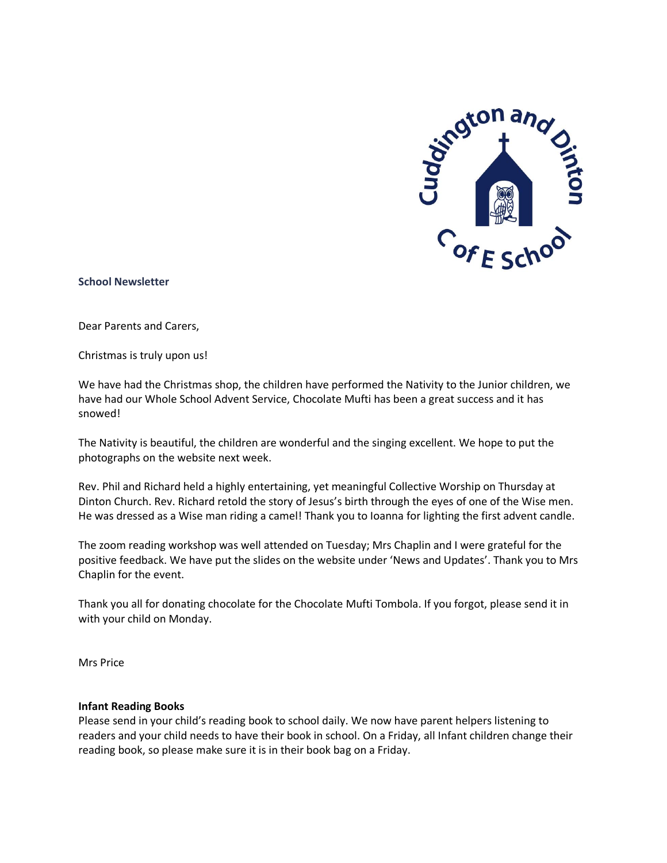

### **School Newsletter**

Dear Parents and Carers,

Christmas is truly upon us!

We have had the Christmas shop, the children have performed the Nativity to the Junior children, we have had our Whole School Advent Service, Chocolate Mufti has been a great success and it has snowed!

The Nativity is beautiful, the children are wonderful and the singing excellent. We hope to put the photographs on the website next week.

Rev. Phil and Richard held a highly entertaining, yet meaningful Collective Worship on Thursday at Dinton Church. Rev. Richard retold the story of Jesus's birth through the eyes of one of the Wise men. He was dressed as a Wise man riding a camel! Thank you to Ioanna for lighting the first advent candle.

The zoom reading workshop was well attended on Tuesday; Mrs Chaplin and I were grateful for the positive feedback. We have put the slides on the website under 'News and Updates'. Thank you to Mrs Chaplin for the event.

Thank you all for donating chocolate for the Chocolate Mufti Tombola. If you forgot, please send it in with your child on Monday.

Mrs Price

#### **Infant Reading Books**

Please send in your child's reading book to school daily. We now have parent helpers listening to readers and your child needs to have their book in school. On a Friday, all Infant children change their reading book, so please make sure it is in their book bag on a Friday.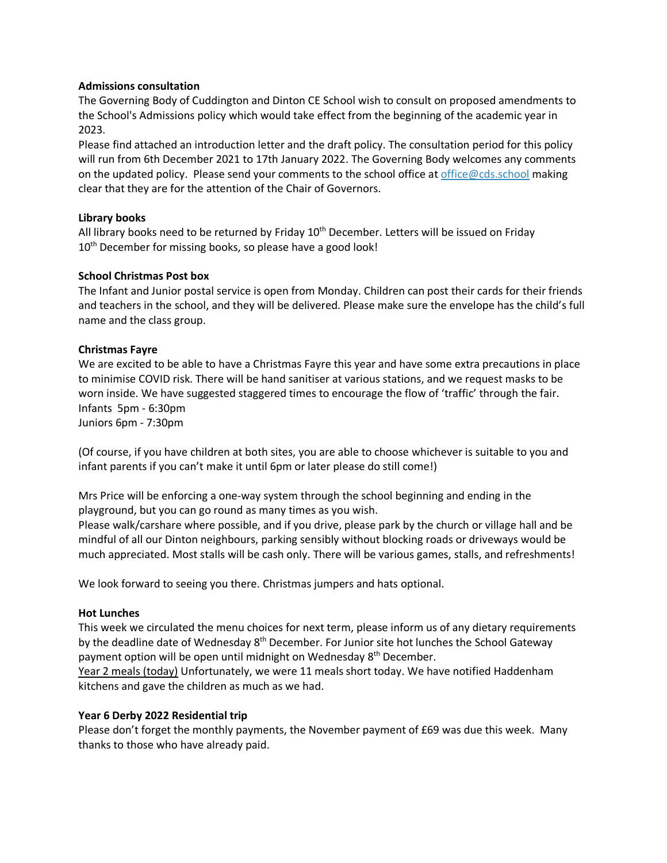## **Admissions consultation**

The Governing Body of Cuddington and Dinton CE School wish to consult on proposed amendments to the School's Admissions policy which would take effect from the beginning of the academic year in 2023.

Please find attached an introduction letter and the draft policy. The consultation period for this policy will run from 6th December 2021 to 17th January 2022. The Governing Body welcomes any comments on the updated policy. Please send your comments to the school office at [office@cds.school](mailto:office@cds.school) making clear that they are for the attention of the Chair of Governors.

## **Library books**

All library books need to be returned by Friday  $10<sup>th</sup>$  December. Letters will be issued on Friday 10<sup>th</sup> December for missing books, so please have a good look!

## **School Christmas Post box**

The Infant and Junior postal service is open from Monday. Children can post their cards for their friends and teachers in the school, and they will be delivered. Please make sure the envelope has the child's full name and the class group.

## **Christmas Fayre**

We are excited to be able to have a Christmas Fayre this year and have some extra precautions in place to minimise COVID risk. There will be hand sanitiser at various stations, and we request masks to be worn inside. We have suggested staggered times to encourage the flow of 'traffic' through the fair. Infants 5pm - 6:30pm Juniors 6pm - 7:30pm

(Of course, if you have children at both sites, you are able to choose whichever is suitable to you and infant parents if you can't make it until 6pm or later please do still come!)

Mrs Price will be enforcing a one-way system through the school beginning and ending in the playground, but you can go round as many times as you wish.

Please walk/carshare where possible, and if you drive, please park by the church or village hall and be mindful of all our Dinton neighbours, parking sensibly without blocking roads or driveways would be much appreciated. Most stalls will be cash only. There will be various games, stalls, and refreshments!

We look forward to seeing you there. Christmas jumpers and hats optional.

#### **Hot Lunches**

This week we circulated the menu choices for next term, please inform us of any dietary requirements by the deadline date of Wednesday 8<sup>th</sup> December. For Junior site hot lunches the School Gateway payment option will be open until midnight on Wednesday 8<sup>th</sup> December.

Year 2 meals (today) Unfortunately, we were 11 meals short today. We have notified Haddenham kitchens and gave the children as much as we had.

#### **Year 6 Derby 2022 Residential trip**

Please don't forget the monthly payments, the November payment of £69 was due this week. Many thanks to those who have already paid.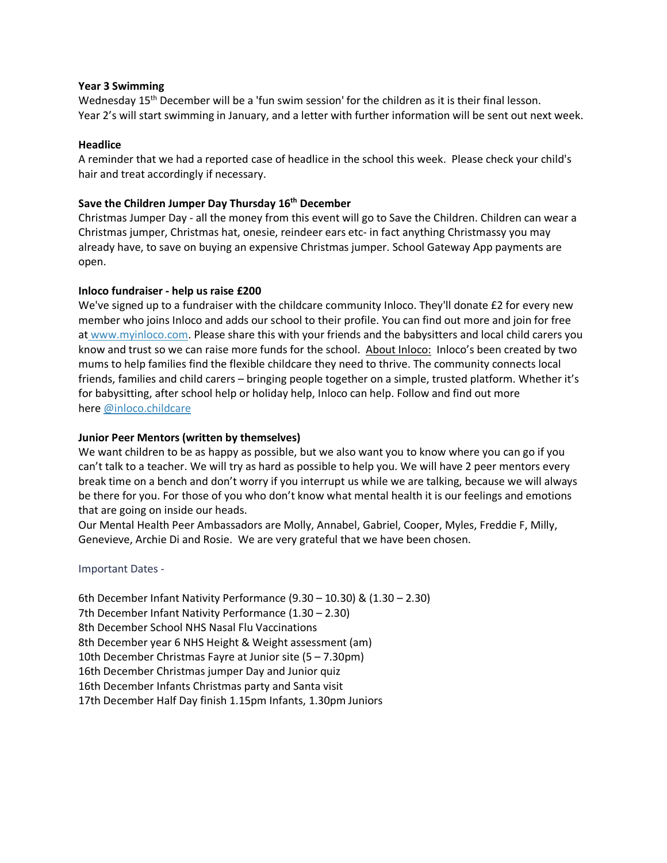## **Year 3 Swimming**

Wednesday 15<sup>th</sup> December will be a 'fun swim session' for the children as it is their final lesson. Year 2's will start swimming in January, and a letter with further information will be sent out next week.

## **Headlice**

A reminder that we had a reported case of headlice in the school this week. Please check your child's hair and treat accordingly if necessary.

## **Save the Children Jumper Day Thursday 16th December**

Christmas Jumper Day - all the money from this event will go to Save the Children. Children can wear a Christmas jumper, Christmas hat, onesie, reindeer ears etc- in fact anything Christmassy you may already have, to save on buying an expensive Christmas jumper. School Gateway App payments are open.

## **Inloco fundraiser - help us raise £200**

We've signed up to a fundraiser with the childcare community Inloco. They'll donate £2 for every new member who joins Inloco and adds our school to their profile. You can find out more and join for free at [www.myinloco.com.](http://www.myinloco.com/) Please share this with your friends and the babysitters and local child carers you know and trust so we can raise more funds for the school. About Inloco: Inloco's been created by two mums to help families find the flexible childcare they need to thrive. The community connects local friends, families and child carers – bringing people together on a simple, trusted platform. Whether it's for babysitting, after school help or holiday help, Inloco can help. Follow and find out more here [@](http://goog_1826971871/)[inloco.childcare](https://www.facebook.com/inloco.childcare)

# **Junior Peer Mentors (written by themselves)**

We want children to be as happy as possible, but we also want you to know where you can go if you can't talk to a teacher. We will try as hard as possible to help you. We will have 2 peer mentors every break time on a bench and don't worry if you interrupt us while we are talking, because we will always be there for you. For those of you who don't know what mental health it is our feelings and emotions that are going on inside our heads.

Our Mental Health Peer Ambassadors are Molly, Annabel, Gabriel, Cooper, Myles, Freddie F, Milly, Genevieve, Archie Di and Rosie. We are very grateful that we have been chosen.

# Important Dates -

6th December Infant Nativity Performance (9.30 – 10.30) & (1.30 – 2.30) 7th December Infant Nativity Performance (1.30 – 2.30) 8th December School NHS Nasal Flu Vaccinations 8th December year 6 NHS Height & Weight assessment (am) 10th December Christmas Fayre at Junior site (5 – 7.30pm) 16th December Christmas jumper Day and Junior quiz 16th December Infants Christmas party and Santa visit 17th December Half Day finish 1.15pm Infants, 1.30pm Juniors